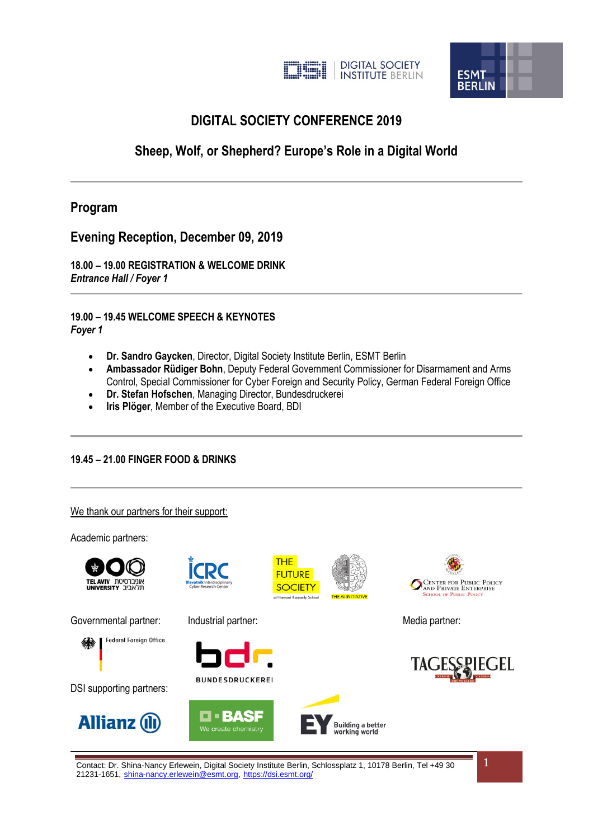



# **DIGITAL SOCIETY CONFERENCE 2019**

# **Sheep, Wolf, or Shepherd? Europe's Role in a Digital World**

# **Program**

**Evening Reception, December 09, 2019**

**18.00 – 19.00 REGISTRATION & WELCOME DRINK** *Entrance Hall / Foyer 1*

**19.00 – 19.45 WELCOME SPEECH & KEYNOTES** *Foyer 1*

- **Dr. Sandro Gaycken**, Director, Digital Society Institute Berlin, ESMT Berlin
- **Ambassador Rüdiger Bohn**, Deputy Federal Government Commissioner for Disarmament and Arms Control, Special Commissioner for Cyber Foreign and Security Policy, German Federal Foreign Office
- **Dr. Stefan Hofschen**, Managing Director, Bundesdruckerei
- **Iris Plöger**, Member of the Executive Board, BDI

#### **19.45 – 21.00 FINGER FOOD & DRINKS**

We thank our partners for their support:

Academic partners:



Contact: Dr. Shina-Nancy Erlewein, Digital Society Institute Berlin, Schlossplatz 1, 10178 Berlin, Tel +49 30 21231-1651, [shina-nancy.erlewein@esmt.org,](mailto:nancy-shina-nancy.erlewein@esmt.org) [https://dsi.esmt.org/](https://translate.google.com/translate?hl=en&prev=_t&sl=de&tl=en&u=https://dsi.esmt.org/)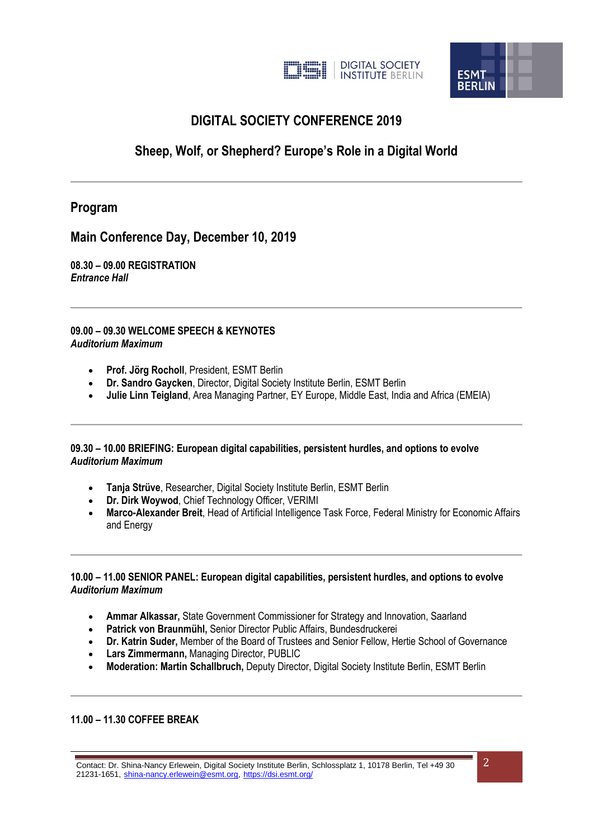



# **DIGITAL SOCIETY CONFERENCE 2019**

# **Sheep, Wolf, or Shepherd? Europe's Role in a Digital World**

# **Program**

**Main Conference Day, December 10, 2019**

**08.30 – 09.00 REGISTRATION** *Entrance Hall*

**09.00 – 09.30 WELCOME SPEECH & KEYNOTES** *Auditorium Maximum*

- **Prof. Jörg Rocholl**, President, ESMT Berlin
- **Dr. Sandro Gaycken**, Director, Digital Society Institute Berlin, ESMT Berlin
- **Julie Linn Teigland**, Area Managing Partner, EY Europe, Middle East, India and Africa (EMEIA)

#### **09.30 – 10.00 BRIEFING: European digital capabilities, persistent hurdles, and options to evolve** *Auditorium Maximum*

- **Tanja Strüve**, Researcher, Digital Society Institute Berlin, ESMT Berlin
- **Dr. Dirk Woywod**, Chief Technology Officer, VERIMI
- **Marco-Alexander Breit**, Head of Artificial Intelligence Task Force, Federal Ministry for Economic Affairs and Energy

#### **10.00 – 11.00 SENIOR PANEL: European digital capabilities, persistent hurdles, and options to evolve** *Auditorium Maximum*

- **Ammar Alkassar,** State Government Commissioner for Strategy and Innovation, Saarland
- **Patrick von Braunmühl,** Senior Director Public Affairs, Bundesdruckerei
- **Dr. Katrin Suder,** Member of the Board of Trustees and Senior Fellow, Hertie School of Governance
- **Lars Zimmermann,** Managing Director, PUBLIC
- **Moderation: Martin Schallbruch,** Deputy Director, Digital Society Institute Berlin, ESMT Berlin

## **11.00 – 11.30 COFFEE BREAK**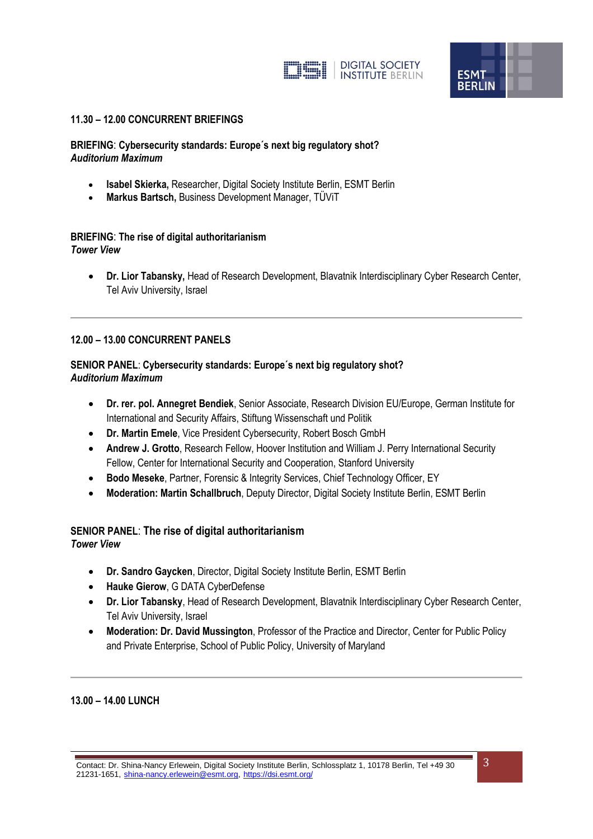



#### **11.30 – 12.00 CONCURRENT BRIEFINGS**

#### **BRIEFING**: **Cybersecurity standards: Europe´s next big regulatory shot?** *Auditorium Maximum*

- **Isabel Skierka,** Researcher, Digital Society Institute Berlin, ESMT Berlin
- **Markus Bartsch,** Business Development Manager, TÜViT

#### **BRIEFING**: **The rise of digital authoritarianism** *Tower View*

 **Dr. Lior Tabansky,** Head of Research Development, Blavatnik Interdisciplinary Cyber Research Center, Tel Aviv University, Israel

#### **12.00 – 13.00 CONCURRENT PANELS**

## **SENIOR PANEL**: **Cybersecurity standards: Europe´s next big regulatory shot?** *Auditorium Maximum*

- **Dr. rer. pol. Annegret Bendiek**, Senior Associate, Research Division EU/Europe, German Institute for International and Security Affairs, Stiftung Wissenschaft und Politik
- **Dr. Martin Emele**, Vice President Cybersecurity, Robert Bosch GmbH
- **Andrew J. Grotto**, Research Fellow, Hoover Institution and William J. Perry International Security Fellow, Center for International Security and Cooperation, Stanford University
- **Bodo Meseke**, Partner, Forensic & Integrity Services, Chief Technology Officer, EY
- **Moderation: Martin Schallbruch**, Deputy Director, Digital Society Institute Berlin, ESMT Berlin

#### **SENIOR PANEL**: **The rise of digital authoritarianism** *Tower View*

- - **Dr. Sandro Gaycken**, Director, Digital Society Institute Berlin, ESMT Berlin
	- **Hauke Gierow**, G DATA CyberDefense
	- **Dr. Lior Tabansky**, Head of Research Development, Blavatnik Interdisciplinary Cyber Research Center, Tel Aviv University, Israel
	- **Moderation: Dr. David Mussington**, Professor of the Practice and Director, Center for Public Policy and Private Enterprise, School of Public Policy, University of Maryland

#### **13.00 – 14.00 LUNCH**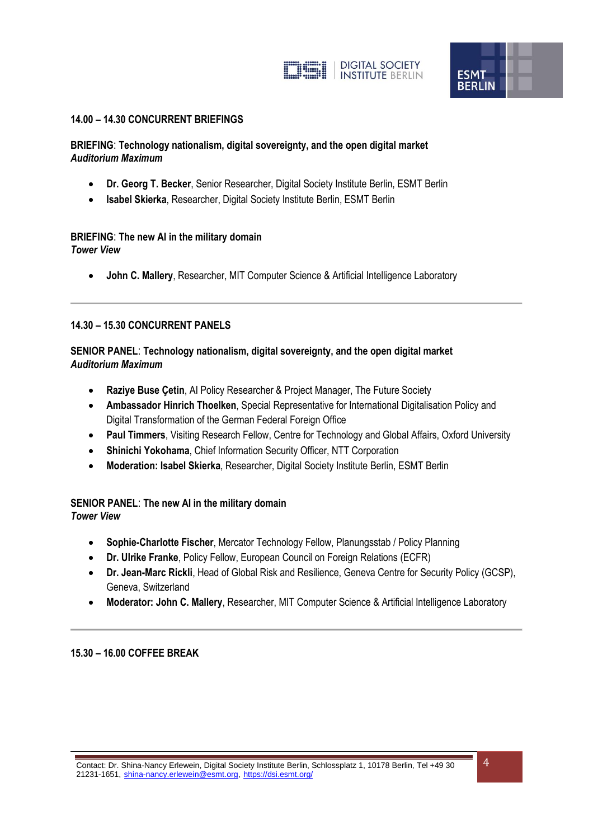



#### **14.00 – 14.30 CONCURRENT BRIEFINGS**

## **BRIEFING**: **Technology nationalism, digital sovereignty, and the open digital market** *Auditorium Maximum*

- **Dr. Georg T. Becker**, Senior Researcher, Digital Society Institute Berlin, ESMT Berlin
- **Isabel Skierka**, Researcher, Digital Society Institute Berlin, ESMT Berlin

# **BRIEFING**: **The new AI in the military domain**

*Tower View*

**John C. Mallery**, Researcher, MIT Computer Science & Artificial Intelligence Laboratory

#### **14.30 – 15.30 CONCURRENT PANELS**

## **SENIOR PANEL**: **Technology nationalism, digital sovereignty, and the open digital market** *Auditorium Maximum*

- **Raziye Buse Çetin**, AI Policy Researcher & Project Manager, The Future Society
- **Ambassador Hinrich Thoelken**, Special Representative for International Digitalisation Policy and Digital Transformation of the German Federal Foreign Office
- **Paul Timmers**, Visiting Research Fellow, Centre for Technology and Global Affairs, Oxford University
- **Shinichi Yokohama**, Chief Information Security Officer, NTT Corporation
- **Moderation: Isabel Skierka**, Researcher, Digital Society Institute Berlin, ESMT Berlin

#### **SENIOR PANEL**: **The new AI in the military domain** *Tower View*

- **Sophie-Charlotte Fischer**, Mercator Technology Fellow, Planungsstab / Policy Planning
- **Dr. Ulrike Franke**, Policy Fellow, European Council on Foreign Relations (ECFR)
- **Dr. Jean-Marc Rickli**, Head of Global Risk and Resilience, Geneva Centre for Security Policy (GCSP), Geneva, Switzerland
- **Moderator: John C. Mallery**, Researcher, MIT Computer Science & Artificial Intelligence Laboratory

#### **15.30 – 16.00 COFFEE BREAK**